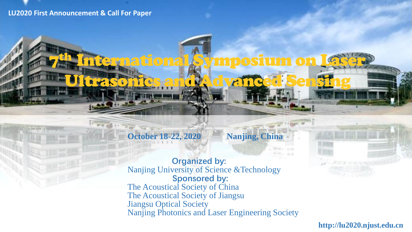#### **LU2020 First Announcement & Call For Paper**

7

# October 18-22, 2020 Nanjing, China

**Organized by:** Nanjing University of Science &Technology **Sponsored by:** The Acoustical Society of China The Acoustical Society of Jiangsu Jiangsu Optical Society Nanjing Photonics and Laser Engineering Society

th International Symposium on Laser

Ultrasonics and Advanced Sensing

**http://lu2020.njust.edu.cn**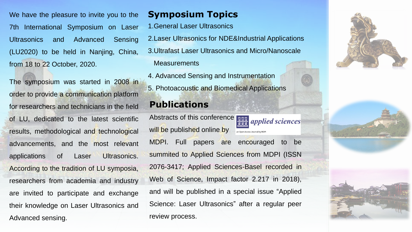We have the pleasure to invite you to the 7th International Symposium on Laser Ultrasonics and Advanced Sensing (LU2020) to be held in Nanjing, China, from 18 to 22 October, 2020.

The symposium was started in 2008 in order to provide a communication platform for researchers and technicians in the field of LU, dedicated to the latest scientific results, methodological and technological advancements, and the most relevant applications of Laser Ultrasonics. According to the tradition of LU symposia, researchers from academia and industry are invited to participate and exchange their knowledge on Laser Ultrasonics and Advanced sensing.

# **Symposium Topics**

- 1.General Laser Ultrasonics
- 2.Laser Ultrasonics for NDE&Industrial Applications
- 3.Ultrafast Laser Ultrasonics and Micro/Nanoscale

### **Measurements**

4. Advanced Sensing and Instrumentation 5. Photoacoustic and Biomedical Applications

# **Publications**

Abstracts of this conference will be published online by an Open Access Journal by MDPI

MDPI. Full papers are encouraged to be summited to Applied Sciences from MDPI (ISSN 2076-3417; Applied Sciences-Basel recorded in Web of Science, Impact factor 2.217 in 2018), and will be published in a special issue "Applied Science: Laser Ultrasonics" after a regular peer review process.

*applied sciences* 



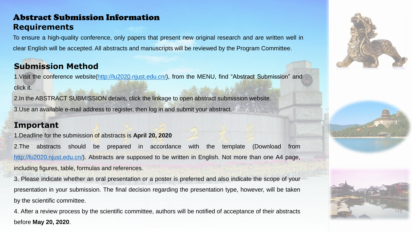## Abstract Submission Information **Requirements**

To ensure a high-quality conference, only papers that present new original research and are written well in clear English will be accepted. All abstracts and manuscripts will be reviewed by the Program Committee.

## **Submission Method**

1. Visit the conference website[\(http://lu2020.njust.edu.cn/](http://lu2020.njust.edu.cn/)), from the MENU, find "Abstract Submission" and click it.

2.In the ABSTRACT SUBMISSION details, click the linkage to open abstract submission website. 3.Use an available e-mail address to register, then log in and submit your abstract.

## **Important**

1.Deadline for the submission of abstracts is **April 20, 2020**

2.The abstracts should be prepared in accordance with the template (Download from <http://lu2020.njust.edu.cn/>). Abstracts are supposed to be written in English. Not more than one A4 page, including figures, table, formulas and references.

3. Please indicate whether an oral presentation or a poster is preferred and also indicate the scope of your presentation in your submission. The final decision regarding the presentation type, however, will be taken by the scientific committee.

4. After a review process by the scientific committee, authors will be notified of acceptance of their abstracts before **May 20, 2020**.